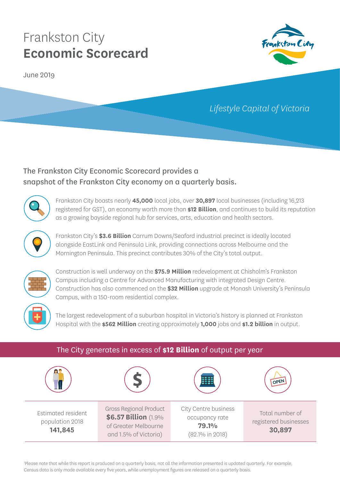June 2019



## *Lifestyle Capital of Victoria*

## The Frankston City Economic Scorecard provides a snapshot of the Frankston City economy on a quarterly basis.



Frankston City boasts nearly **45,000** local jobs, over **30,897** local businesses (including 16,213 registered for GST), an economy worth more than **\$12 Billion**, and continues to build its reputation as a growing bayside regional hub for services, arts, education and health sectors.



Frankston City's **\$3.6 Billion** Carrum Downs/Seaford industrial precinct is ideally located alongside EastLink and Peninsula Link, providing connections across Melbourne and the Mornington Peninsula. This precinct contributes 30% of the City's total output.



Construction is well underway on the **\$75.9 Million** redevelopment at Chisholm's Frankston Campus including a Centre for Advanced Manufacturing with integrated Design Centre. Construction has also commenced on the **\$32 Million** upgrade at Monash University's Peninsula Campus, with a 150-room residential complex.



The largest redevelopment of a suburban hospital in Victoria's history is planned at Frankston Hospital with the **\$562 Million** creating approximately **1,000** jobs and **\$1.2 billion** in output.

| The City generates in excess of \$12 Billion of output per year |                                                                                                        |                                                                    |                                                    |  |
|-----------------------------------------------------------------|--------------------------------------------------------------------------------------------------------|--------------------------------------------------------------------|----------------------------------------------------|--|
|                                                                 |                                                                                                        |                                                                    | OPEN                                               |  |
| Estimated resident<br>population 2018<br>141,845                | <b>Gross Regional Product</b><br>\$6.57 Billion (1.9%<br>of Greater Melbourne<br>and 1.5% of Victoria) | City Centre business<br>occupancy rate<br>79.1%<br>(82.1% in 2018) | Total number of<br>registered businesses<br>30,897 |  |

1 Please note that while this report is produced on a quarterly basis, not all the information presented is updated quarterly. For example, Census data is only made available every five years, while unemployment figures are released on a quarterly basis.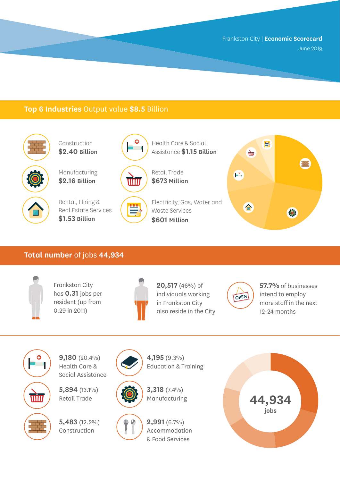## **Top 6 Industries** Output value **\$8.5** Billion



Construction **\$2.40 Billion**

Manufacturing **\$2.16 Billion**



Rental, Hiring & Real Estate Services **\$1.53 Billion**



≝



Assistance **\$1.15 Billion** Retail Trade

Health Care & Social

Electricity, Gas, Water and Waste Services **\$601 Million**



#### **Total number** of jobs **44,934**



O

win

Frankston City has **0.31** jobs per resident (up from 0.29 in 2011)



**20,517** (46%) of individuals working in Frankston City also reside in the City



**57.7%** of businesses intend to employ more staff in the next 12-24 months



**5,894** (13.1%) Retail Trade

**5,483** (12.2%) Construction





 $\frac{1}{2}$ **2,991** (6.7%) Accommodation & Food Services

**4,195** (9.3%) Education & Training

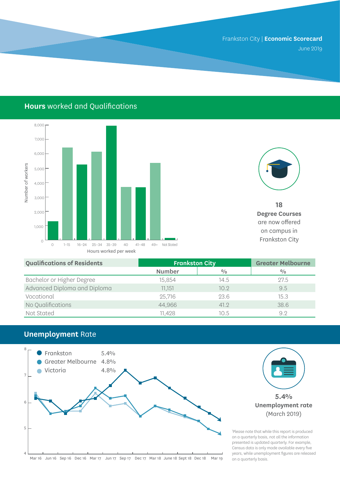## **Hours** worked and Qualifications





**18 Degree Courses**  are now offered on campus in

| <b>Qualifications of Residents</b> | <b>Frankston City</b> |               | <b>Greater Melbourne</b> |
|------------------------------------|-----------------------|---------------|--------------------------|
|                                    | <b>Number</b>         | $\frac{0}{0}$ | $\frac{0}{0}$            |
| Bachelor or Higher Degree          | 15,854                | 14.5          | 27.5                     |
| Advanced Diploma and Diploma       | 11.151                | 10.9          | 9.5                      |
| Vocational                         | 25,716                | 23.6          | 15.3                     |
| No Qualifications                  | 44,966                | 41.2          | 38.6                     |
| Not Stated                         | 11,428                | 10.5          | 9.2                      |

## **Unemployment** Rate

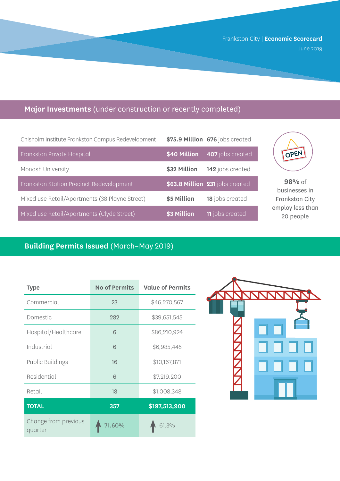## **Major Investments** (under construction or recently completed)

| Chisholm Institute Frankston Campus Redevelopment |              | \$75.9 Million 676 jobs created |
|---------------------------------------------------|--------------|---------------------------------|
| Frankston Private Hospital                        | \$40 Million | 407 jobs created                |
| Monash University                                 | \$32 Million | 142 jobs created                |
| Frankston Station Precinct Redevelopment          |              | \$63.8 Million 231 jobs created |
| Mixed use Retail/Apartments (38 Playne Street)    | \$5 Million  | 18 jobs created                 |
| Mixed use Retail/Apartments (Clyde Street)        | \$3 Million  | <b>11</b> jobs created          |



**98%** of businesses in Frankston City employ less than 20 people

## **Building Permits Issued** (March–May 2019)

| <b>Type</b>                     | <b>No of Permits</b> | <b>Value of Permits</b> |
|---------------------------------|----------------------|-------------------------|
| Commercial                      | 23                   | \$46,270,567            |
| Domestic                        | 282                  | \$39,651,545            |
| Hospital/Healthcare             | 6                    | \$86,210,924            |
| Industrial                      | 6                    | \$6,985,445             |
| <b>Public Buildings</b>         | 16                   | \$10,167,871            |
| Residential                     | 6                    | \$7,219,200             |
| Retail                          | 18                   | \$1,008,348             |
| <b>TOTAL</b>                    | 357                  | \$197,513,900           |
| Change from previous<br>quarter | 71.60%               | 61.3%                   |

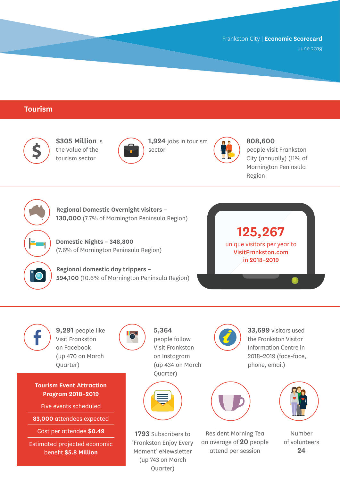June 2019

## **Tourism**



**\$305 Million** is the value of the tourism sector



**1,924** jobs in tourism sector



**808,600** 

people visit Frankston City (annually) (11% of Mornington Peninsula Region



**Regional Domestic Overnight visitors – 130,000** (7.7% of Mornington Peninsula Region)

**Domestic Nights – 348,800** (7.6% of Mornington Peninsula Region)

**Regional domestic day trippers – 594,100** (10.6% of Mornington Peninsula Region)





**9,291** people like Visit Frankston on Facebook (up 470 on March

Quarter)

**Tourism Event Attraction Program 2018–2019**

Five events scheduled

**83,000** attendees expected

Cost per attendee **\$0.49**

Estimated projected economic benefit **\$5.8 Million**



**5,364**  people follow Visit Frankston on Instagram (up 434 on March Quarter)



**1793** Subscribers to 'Frankston Enjoy Every Moment' eNewsletter (up 743 on March Quarter)



**33,699** visitors used the Frankston Visitor Information Centre in 2018–2019 (face-face, phone, email)



Resident Morning Tea an average of **20** people attend per session



Number of volunteers **24**